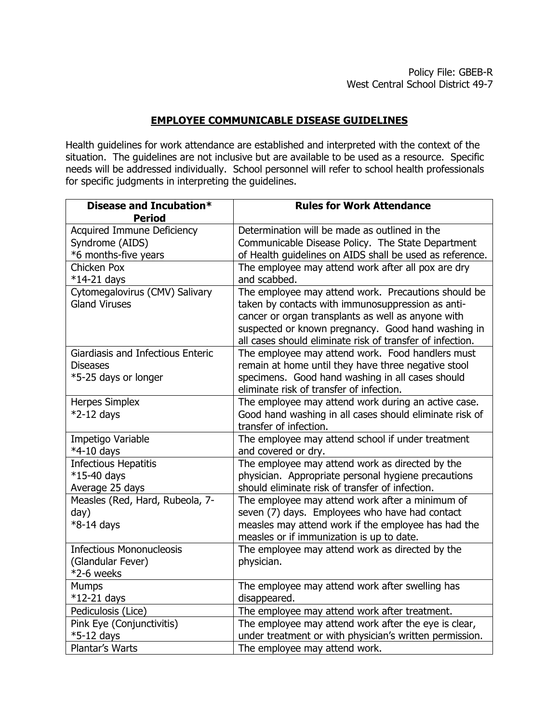## **EMPLOYEE COMMUNICABLE DISEASE GUIDELINES**

Health guidelines for work attendance are established and interpreted with the context of the situation. The guidelines are not inclusive but are available to be used as a resource. Specific needs will be addressed individually. School personnel will refer to school health professionals for specific judgments in interpreting the guidelines.

| Disease and Incubation*           | <b>Rules for Work Attendance</b>                          |
|-----------------------------------|-----------------------------------------------------------|
| <b>Period</b>                     |                                                           |
| <b>Acquired Immune Deficiency</b> | Determination will be made as outlined in the             |
| Syndrome (AIDS)                   | Communicable Disease Policy. The State Department         |
| *6 months-five years              | of Health guidelines on AIDS shall be used as reference.  |
| Chicken Pox                       | The employee may attend work after all pox are dry        |
| $*14-21$ days                     | and scabbed.                                              |
| Cytomegalovirus (CMV) Salivary    | The employee may attend work. Precautions should be       |
| <b>Gland Viruses</b>              | taken by contacts with immunosuppression as anti-         |
|                                   | cancer or organ transplants as well as anyone with        |
|                                   | suspected or known pregnancy. Good hand washing in        |
|                                   | all cases should eliminate risk of transfer of infection. |
| Giardiasis and Infectious Enteric | The employee may attend work. Food handlers must          |
| Diseases                          | remain at home until they have three negative stool       |
| *5-25 days or longer              | specimens. Good hand washing in all cases should          |
|                                   | eliminate risk of transfer of infection.                  |
| <b>Herpes Simplex</b>             | The employee may attend work during an active case.       |
| $*2-12$ days                      | Good hand washing in all cases should eliminate risk of   |
|                                   | transfer of infection.                                    |
| Impetigo Variable                 | The employee may attend school if under treatment         |
| *4-10 days                        | and covered or dry.                                       |
| <b>Infectious Hepatitis</b>       | The employee may attend work as directed by the           |
| $*15-40$ days                     | physician. Appropriate personal hygiene precautions       |
| Average 25 days                   | should eliminate risk of transfer of infection.           |
| Measles (Red, Hard, Rubeola, 7-   | The employee may attend work after a minimum of           |
| day)                              | seven (7) days. Employees who have had contact            |
| *8-14 days                        | measles may attend work if the employee has had the       |
|                                   | measles or if immunization is up to date.                 |
| <b>Infectious Mononucleosis</b>   | The employee may attend work as directed by the           |
| (Glandular Fever)                 | physician.                                                |
| $*2-6$ weeks                      |                                                           |
| <b>Mumps</b>                      | The employee may attend work after swelling has           |
| $*12-21$ days                     | disappeared.                                              |
| Pediculosis (Lice)                | The employee may attend work after treatment.             |
| Pink Eye (Conjunctivitis)         | The employee may attend work after the eye is clear,      |
| *5-12 days                        | under treatment or with physician's written permission.   |
| Plantar's Warts                   | The employee may attend work.                             |